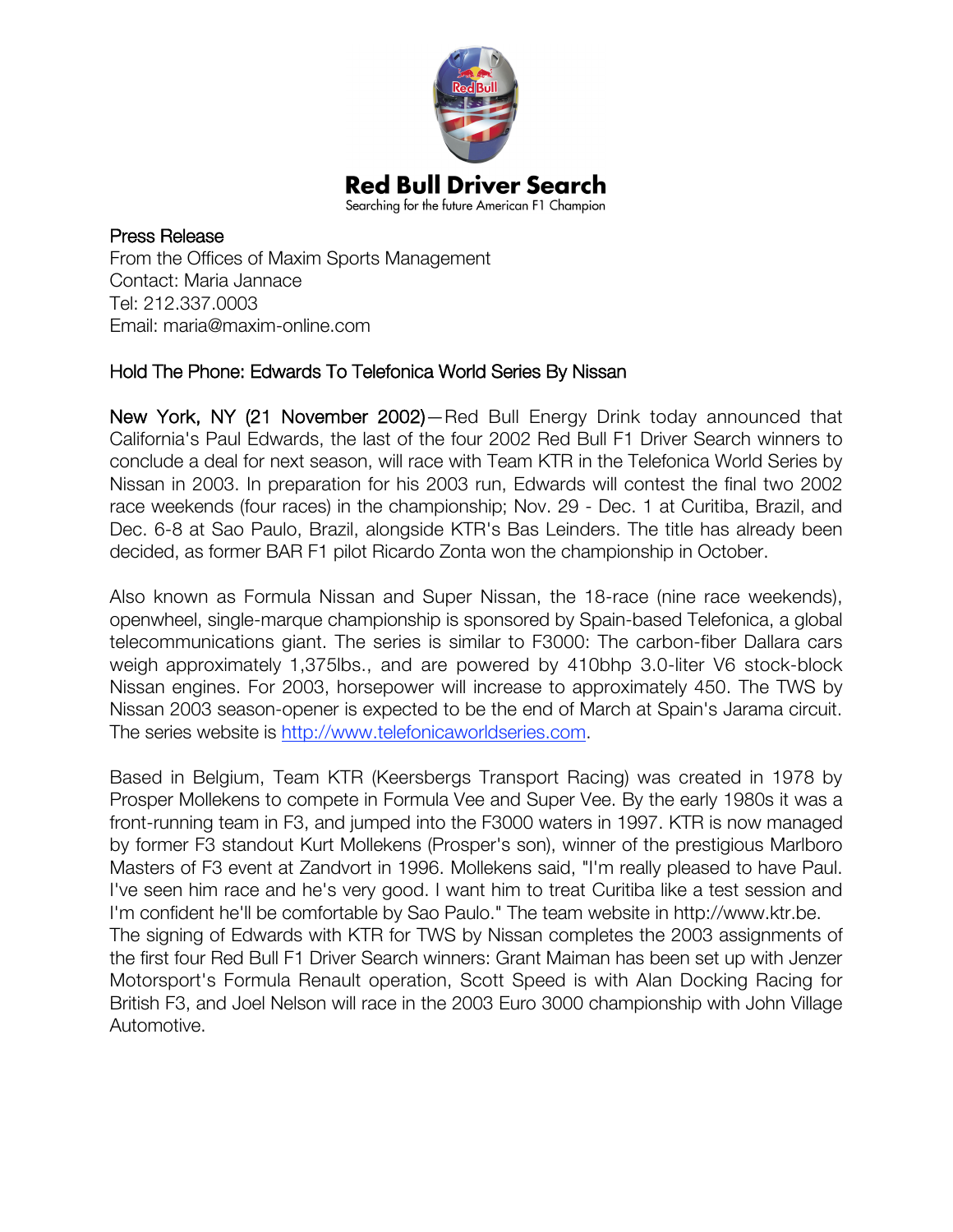

Press Release From the Offices of Maxim Sports Management Contact: Maria Jannace Tel: 212.337.0003 Email: maria@maxim-online.com

## Hold The Phone: Edwards To Telefonica World Series By Nissan

New York, NY (21 November 2002)—Red Bull Energy Drink today announced that California's Paul Edwards, the last of the four 2002 Red Bull F1 Driver Search winners to conclude a deal for next season, will race with Team KTR in the Telefonica World Series by Nissan in 2003. In preparation for his 2003 run, Edwards will contest the final two 2002 race weekends (four races) in the championship; Nov. 29 - Dec. 1 at Curitiba, Brazil, and Dec. 6-8 at Sao Paulo, Brazil, alongside KTR's Bas Leinders. The title has already been decided, as former BAR F1 pilot Ricardo Zonta won the championship in October.

Also known as Formula Nissan and Super Nissan, the 18-race (nine race weekends), openwheel, single-marque championship is sponsored by Spain-based Telefonica, a global telecommunications giant. The series is similar to F3000: The carbon-fiber Dallara cars weigh approximately 1,375lbs., and are powered by 410bhp 3.0-liter V6 stock-block Nissan engines. For 2003, horsepower will increase to approximately 450. The TWS by Nissan 2003 season-opener is expected to be the end of March at Spain's Jarama circuit. The series website is http://www.telefonicaworldseries.com.

Based in Belgium, Team KTR (Keersbergs Transport Racing) was created in 1978 by Prosper Mollekens to compete in Formula Vee and Super Vee. By the early 1980s it was a front-running team in F3, and jumped into the F3000 waters in 1997. KTR is now managed by former F3 standout Kurt Mollekens (Prosper's son), winner of the prestigious Marlboro Masters of F3 event at Zandvort in 1996. Mollekens said, "I'm really pleased to have Paul. I've seen him race and he's very good. I want him to treat Curitiba like a test session and I'm confident he'll be comfortable by Sao Paulo." The team website in http://www.ktr.be. The signing of Edwards with KTR for TWS by Nissan completes the 2003 assignments of the first four Red Bull F1 Driver Search winners: Grant Maiman has been set up with Jenzer Motorsport's Formula Renault operation, Scott Speed is with Alan Docking Racing for British F3, and Joel Nelson will race in the 2003 Euro 3000 championship with John Village Automotive.